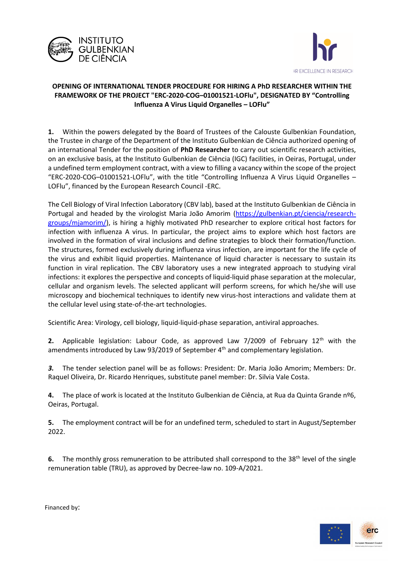



## **OPENING OF INTERNATIONAL TENDER PROCEDURE FOR HIRING A PhD RESEARCHER WITHIN THE FRAMEWORK OF THE PROJECT "ERC-2020-COG–01001521-LOFlu", DESIGNATED BY "Controlling Influenza A Virus Liquid Organelles – LOFlu"**

**1.** Within the powers delegated by the Board of Trustees of the Calouste Gulbenkian Foundation, the Trustee in charge of the Department of the Instituto Gulbenkian de Ciência authorized opening of an international Tender for the position of **PhD Researcher** to carry out scientific research activities, on an exclusive basis, at the Instituto Gulbenkian de Ciência (IGC) facilities, in Oeiras, Portugal, under a undefined term employment contract, with a view to filling a vacancy within the scope of the project "ERC-2020-COG–01001521-LOFlu", with the title "Controlling Influenza A Virus Liquid Organelles – LOFlu", financed by the European Research Council -ERC.

The Cell Biology of Viral Infection Laboratory (CBV lab), based at the Instituto Gulbenkian de Ciência in Portugal and headed by the virologist Maria João Amorim [\(https://gulbenkian.pt/ciencia/research](https://gulbenkian.pt/ciencia/research-groups/mjamorim/)[groups/mjamorim/\)](https://gulbenkian.pt/ciencia/research-groups/mjamorim/), is hiring a highly motivated PhD researcher to explore critical host factors for infection with influenza A virus. In particular, the project aims to explore which host factors are involved in the formation of viral inclusions and define strategies to block their formation/function. The structures, formed exclusively during influenza virus infection, are important for the life cycle of the virus and exhibit liquid properties. Maintenance of liquid character is necessary to sustain its function in viral replication. The CBV laboratory uses a new integrated approach to studying viral infections: it explores the perspective and concepts of liquid-liquid phase separation at the molecular, cellular and organism levels. The selected applicant will perform screens, for which he/she will use microscopy and biochemical techniques to identify new virus-host interactions and validate them at the cellular level using state-of-the-art technologies.

Scientific Area: Virology, cell biology, liquid-liquid-phase separation, antiviral approaches.

**2.** Applicable legislation: Labour Code, as approved Law 7/2009 of February 12th with the amendments introduced by Law 93/2019 of September  $4<sup>th</sup>$  and complementary legislation.

*3.* The tender selection panel will be as follows: President: Dr. Maria João Amorim; Members: Dr. Raquel Oliveira, Dr. Ricardo Henriques, substitute panel member: Dr. Silvia Vale Costa.

**4.** The place of work is located at the Instituto Gulbenkian de Ciência, at Rua da Quinta Grande nº6, Oeiras, Portugal.

**5.** The employment contract will be for an undefined term, scheduled to start in August/September 2022.

**6.** The monthly gross remuneration to be attributed shall correspond to the 38<sup>th</sup> level of the single remuneration table (TRU), as approved by Decree-law no. 109-A/2021.



Financed by: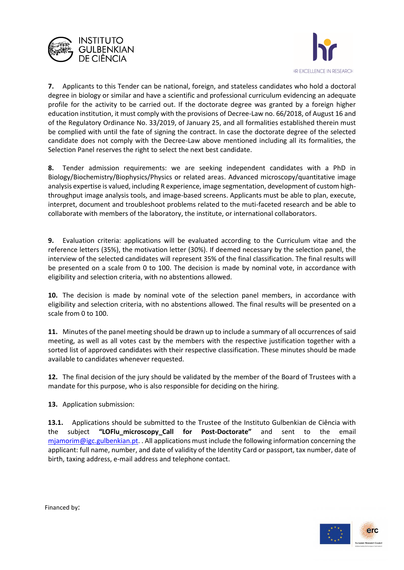



**7.** Applicants to this Tender can be national, foreign, and stateless candidates who hold a doctoral degree in biology or similar and have a scientific and professional curriculum evidencing an adequate profile for the activity to be carried out. If the doctorate degree was granted by a foreign higher education institution, it must comply with the provisions of Decree-Law no. 66/2018, of August 16 and of the Regulatory Ordinance No. 33/2019, of January 25, and all formalities established therein must be complied with until the fate of signing the contract. In case the doctorate degree of the selected candidate does not comply with the Decree-Law above mentioned including all its formalities, the Selection Panel reserves the right to select the next best candidate.

**8.** Tender admission requirements: we are seeking independent candidates with a PhD in Biology/Biochemistry/Biophysics/Physics or related areas. Advanced microscopy/quantitative image analysis expertise is valued, including R experience, image segmentation, development of custom highthroughput image analysis tools, and image-based screens. Applicants must be able to plan, execute, interpret, document and troubleshoot problems related to the muti-faceted research and be able to collaborate with members of the laboratory, the institute, or international collaborators.

**9.** Evaluation criteria: applications will be evaluated according to the Curriculum vitae and the reference letters (35%), the motivation letter (30%). If deemed necessary by the selection panel, the interview of the selected candidates will represent 35% of the final classification. The final results will be presented on a scale from 0 to 100. The decision is made by nominal vote, in accordance with eligibility and selection criteria, with no abstentions allowed.

**10.** The decision is made by nominal vote of the selection panel members, in accordance with eligibility and selection criteria, with no abstentions allowed. The final results will be presented on a scale from 0 to 100.

**11.** Minutes of the panel meeting should be drawn up to include a summary of all occurrences of said meeting, as well as all votes cast by the members with the respective justification together with a sorted list of approved candidates with their respective classification. These minutes should be made available to candidates whenever requested.

**12.** The final decision of the jury should be validated by the member of the Board of Trustees with a mandate for this purpose, who is also responsible for deciding on the hiring.

**13.** Application submission:

**13.1.** Applications should be submitted to the Trustee of the Instituto Gulbenkian de Ciência with the subject **"LOFlu\_microscopy\_Call for Post-Doctorate"** and sent to the email [mjamorim@igc.gulbenkian.pt.](mailto:mjamorim@igc.gulbenkian.pt) . All applications must include the following information concerning the applicant: full name, number, and date of validity of the Identity Card or passport, tax number, date of birth, taxing address, e-mail address and telephone contact.



Financed by: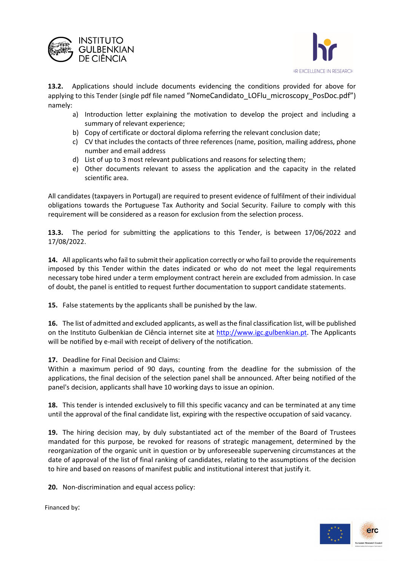



**13.2.** Applications should include documents evidencing the conditions provided for above for applying to this Tender (single pdf file named "NomeCandidato LOFlu microscopy PosDoc.pdf") namely:

- a) Introduction letter explaining the motivation to develop the project and including a summary of relevant experience;
- b) Copy of certificate or doctoral diploma referring the relevant conclusion date;
- c) CV that includes the contacts of three references (name, position, mailing address, phone number and email address
- d) List of up to 3 most relevant publications and reasons for selecting them;
- e) Other documents relevant to assess the application and the capacity in the related scientific area.

All candidates (taxpayers in Portugal) are required to present evidence of fulfilment of their individual obligations towards the Portuguese Tax Authority and Social Security. Failure to comply with this requirement will be considered as a reason for exclusion from the selection process.

**13.3.** The period for submitting the applications to this Tender, is between 17/06/2022 and 17/08/2022.

**14.** All applicants who fail to submit their application correctly or who fail to provide the requirements imposed by this Tender within the dates indicated or who do not meet the legal requirements necessary tobe hired under a term employment contract herein are excluded from admission. In case of doubt, the panel is entitled to request further documentation to support candidate statements.

**15.** False statements by the applicants shall be punished by the law.

**16.** The list of admitted and excluded applicants, as well as the final classification list, will be published on the Instituto Gulbenkian de Ciência internet site at [http://www.igc.gulbenkian.pt.](http://www.igc.gulbenkian.pt/) The Applicants will be notified by e-mail with receipt of delivery of the notification.

**17.** Deadline for Final Decision and Claims:

Within a maximum period of 90 days, counting from the deadline for the submission of the applications, the final decision of the selection panel shall be announced. After being notified of the panel's decision, applicants shall have 10 working days to issue an opinion.

**18.** This tender is intended exclusively to fill this specific vacancy and can be terminated at any time until the approval of the final candidate list, expiring with the respective occupation of said vacancy.

**19.** The hiring decision may, by duly substantiated act of the member of the Board of Trustees mandated for this purpose, be revoked for reasons of strategic management, determined by the reorganization of the organic unit in question or by unforeseeable supervening circumstances at the date of approval of the list of final ranking of candidates, relating to the assumptions of the decision to hire and based on reasons of manifest public and institutional interest that justify it.

**20.** Non-discrimination and equal access policy:



Financed by: